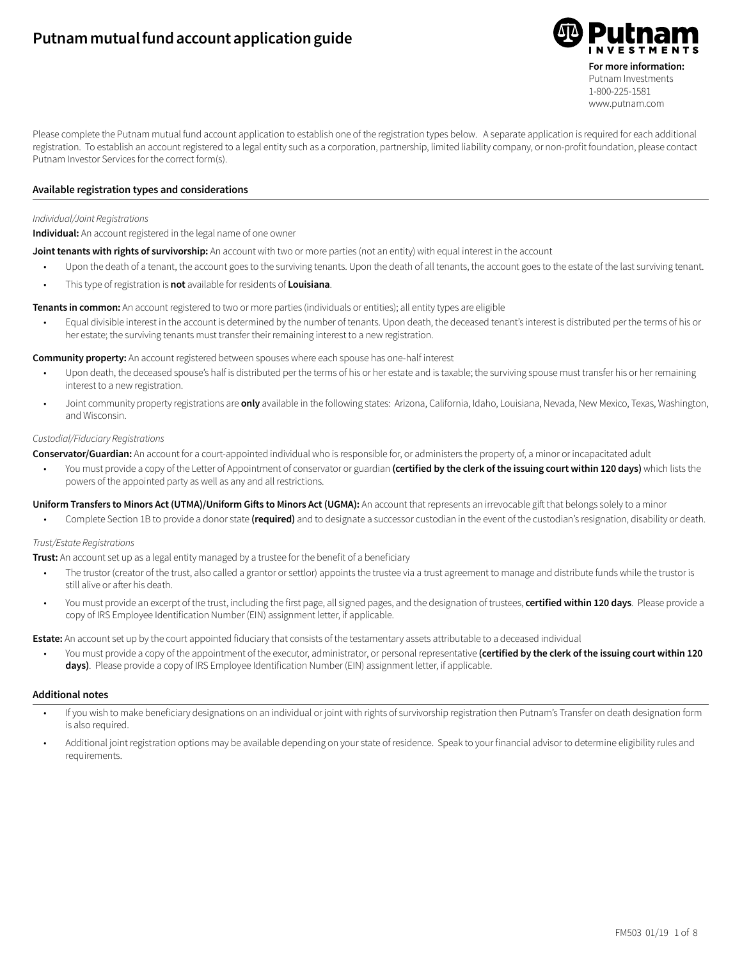# **Putnam mutual fund account application guide**



Please complete the Putnam mutual fund account application to establish one of the registration types below. A separate application is required for each additional registration. To establish an account registered to a legal entity such as a corporation, partnership, limited liability company, or non-profit foundation, please contact Putnam Investor Services for the correct form(s).

#### **Available registration types and considerations**

#### *Individual/Joint Registrations*

**Individual:** An account registered in the legal name of one owner

**Joint tenants with rights of survivorship:** An account with two or more parties (not an entity) with equal interest in the account

- Upon the death of a tenant, the account goes to the surviving tenants. Upon the death of all tenants, the account goes to the estate of the last surviving tenant.
- This type of registration is **not** available for residents of **Louisiana**.

**Tenants in common:** An account registered to two or more parties (individuals or entities); all entity types are eligible

• Equal divisible interest in the account is determined by the number of tenants. Upon death, the deceased tenant's interest is distributed per the terms of his or her estate; the surviving tenants must transfer their remaining interest to a new registration.

**Community property:** An account registered between spouses where each spouse has one-half interest

- Upon death, the deceased spouse's half is distributed per the terms of his or her estate and is taxable; the surviving spouse must transfer his or her remaining interest to a new registration.
- Joint community property registrations are **only** available in the following states: Arizona, California, Idaho, Louisiana, Nevada, New Mexico, Texas, Washington, and Wisconsin.

#### *Custodial/Fiduciary Registrations*

**Conservator/Guardian:** An account for a court-appointed individual who is responsible for, or administers the property of, a minor or incapacitated adult

• You must provide a copy of the Letter of Appointment of conservator or guardian **(certified by the clerk of the issuing court within 120 days)** which lists the powers of the appointed party as well as any and all restrictions.

Uniform Transfers to Minors Act (UTMA)/Uniform Gifts to Minors Act (UGMA): An account that represents an irrevocable gift that belongs solely to a minor

• Complete Section 1B to provide a donor state **(required)** and to designate a successor custodian in the event of the custodian's resignation, disability or death.

#### *Trust/Estate Registrations*

**Trust:** An account set up as a legal entity managed by a trustee for the benefit of a beneficiary

- The trustor (creator of the trust, also called a grantor or settlor) appoints the trustee via a trust agreement to manage and distribute funds while the trustor is still alive or after his death.
- You must provide an excerpt of the trust, including the first page, all signed pages, and the designation of trustees, **certified within 120 days**. Please provide a copy of IRS Employee Identification Number (EIN) assignment letter, if applicable.

**Estate:** An account set up by the court appointed fiduciary that consists of the testamentary assets attributable to a deceased individual

• You must provide a copy of the appointment of the executor, administrator, or personal representative **(certified by the clerk of the issuing court within 120 days)**. Please provide a copy of IRS Employee Identification Number (EIN) assignment letter, if applicable.

### **Additional notes**

- If you wish to make beneficiary designations on an individual or joint with rights of survivorship registration then Putnam's Transfer on death designation form is also required.
- Additional joint registration options may be available depending on your state of residence. Speak to your financial advisor to determine eligibility rules and requirements.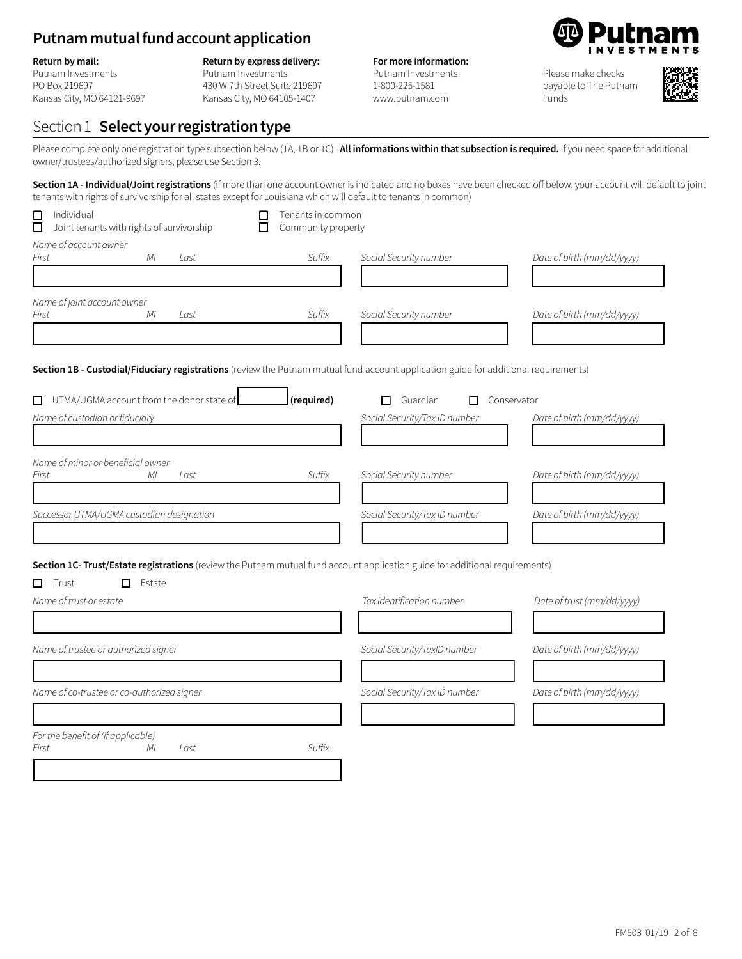# **Putnam mutual fund account application**

#### **Return by mail:**

Putnam Investments PO Box 219697 Kansas City, MO 64121-9697

### **Return by express delivery:**

Putnam Investments 430 W 7th Street Suite 219697 Kansas City, MO 64105-1407

### **For more information:**

Putnam Investments 1-800-225-1581 www.putnam.com

Please make checks

payable to The Putnam Funds



# Section 1 **Select your registration type**

Please complete only one registration type subsection below (1A, 1B or 1C). **All informations within that subsection is required.** If you need space for additional owner/trustees/authorized signers, please use Section 3.

Section 1A - Individual/Joint registrations (if more than one account owner is indicated and no boxes have been checked off below, your account will default to joint tenants with rights of survivorship for all states except for Louisiana which will default to tenants in common)

| $\Box$<br>Individual<br>Joint tenants with rights of survivorship<br>□                                                               | Tenants in common<br>Community property |                               |                            |
|--------------------------------------------------------------------------------------------------------------------------------------|-----------------------------------------|-------------------------------|----------------------------|
| Name of account owner                                                                                                                |                                         |                               |                            |
| ΜI<br>First<br>Last                                                                                                                  | Suffix                                  | Social Security number        | Date of birth (mm/dd/yyyy) |
| Name of joint account owner                                                                                                          |                                         |                               |                            |
| ΜI<br>First<br>Last                                                                                                                  | Suffix                                  | Social Security number        | Date of birth (mm/dd/yyyy) |
| Section 1B - Custodial/Fiduciary registrations (review the Putnam mutual fund account application guide for additional requirements) |                                         |                               |                            |
| $\Box$ UTMA/UGMA account from the donor state of                                                                                     | (required)                              | Guardian<br>П<br>П            | Conservator                |
| Name of custodian or fiduciary                                                                                                       |                                         | Social Security/Tax ID number | Date of birth (mm/dd/yyyy) |
|                                                                                                                                      |                                         |                               |                            |
| Name of minor or beneficial owner<br>First<br>МI<br>Last                                                                             | Suffix                                  | Social Security number        | Date of birth (mm/dd/yyyy) |
|                                                                                                                                      |                                         |                               |                            |
| Successor UTMA/UGMA custodian designation                                                                                            |                                         | Social Security/Tax ID number | Date of birth (mm/dd/yyyy) |
|                                                                                                                                      |                                         |                               |                            |
| Section 1C- Trust/Estate registrations (review the Putnam mutual fund account application guide for additional requirements)         |                                         |                               |                            |
| □<br>Trust<br>Estate<br>□<br>Name of trust or estate                                                                                 |                                         | Tax identification number     |                            |
|                                                                                                                                      |                                         |                               | Date of trust (mm/dd/yyyy) |
| Name of trustee or authorized signer                                                                                                 |                                         | Social Security/TaxID number  | Date of birth (mm/dd/yyyy) |
|                                                                                                                                      |                                         |                               |                            |
| Name of co-trustee or co-authorized signer                                                                                           |                                         | Social Security/Tax ID number | Date of birth (mm/dd/yyyy) |
|                                                                                                                                      |                                         |                               |                            |
| For the benefit of (if applicable)<br>ΜI<br>First<br>Last                                                                            | Suffix                                  |                               |                            |
|                                                                                                                                      |                                         |                               |                            |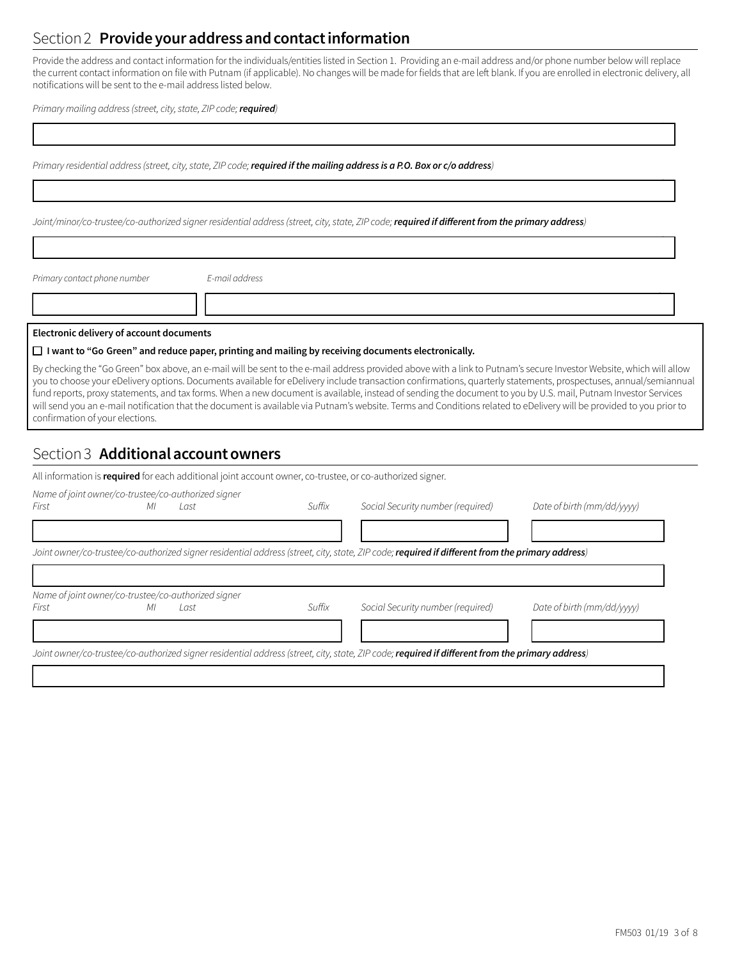# Section 2 **Provide your address and contact information**

Provide the address and contact information for the individuals/entities listed in Section 1. Providing an e-mail address and/or phone number below will replace the current contact information on file with Putnam (if applicable). No changes will be made for fields that are left blank. If you are enrolled in electronic delivery, all notifications will be sent to the e-mail address listed below.

1333333333333333333333333333333333333334

1333333333333333333333333333333333333334

1333333333333333333333333333333333333334

13333333334 13333333333333333333333333334

*Primary mailing address(street, city,state, ZIP code;required)*

*Primary residential address(street, city,state, ZIP code;required if the mailing address is a P.O. Box or c/o address)*

*Joint/minor/co-trustee/co-authorized signer residential address(street, city,state, ZIP code;***required if different from the primary address***)*

*Primary contact phone number E-mail address*

#### **Electronic delivery of account documents**

#### o **I want to "Go Green" and reduce paper, printing and mailing by receiving documents electronically.**

By checking the "Go Green" box above, an e-mail will be sent to the e-mail address provided above with a link to Putnam's secure Investor Website, which will allow you to choose your eDelivery options. Documents available for eDelivery include transaction confirmations, quarterly statements, prospectuses, annual/semiannual fund reports, proxy statements, and tax forms. When a new document is available, instead of sending the document to you by U.S. mail, Putnam Investor Services will send you an e-mail notification that the document is available via Putnam's website. Terms and Conditions related to eDelivery will be provided to you prior to confirmation of your elections.

# Section 3 **Additional account owners**

All information is **required** for each additional joint account owner, co-trustee, or co-authorized signer.

| First | МI | Name of joint owner/co-trustee/co-authorized signer<br>Last | Suffix | Social Security number (required)                                                                                                                       | Date of birth (mm/dd/yyyy) |
|-------|----|-------------------------------------------------------------|--------|---------------------------------------------------------------------------------------------------------------------------------------------------------|----------------------------|
|       |    |                                                             |        |                                                                                                                                                         |                            |
|       |    |                                                             |        | Joint owner/co-trustee/co-authorized signer residential address (street, city, state, ZIP code; <b>required if different from the primary address</b> ) |                            |
|       |    |                                                             |        |                                                                                                                                                         |                            |
|       |    | Name of joint owner/co-trustee/co-authorized signer         |        |                                                                                                                                                         |                            |
| First | МI | Last                                                        | Suffix | Social Security number (required)                                                                                                                       | Date of birth (mm/dd/vvvv) |
|       |    |                                                             |        |                                                                                                                                                         |                            |
|       |    |                                                             |        | Joint owner/co-trustee/co-authorized signer residential address (street, city, state, ZIP code; <b>required if different from the primary address</b> ) |                            |
|       |    |                                                             |        |                                                                                                                                                         |                            |
|       |    |                                                             |        |                                                                                                                                                         |                            |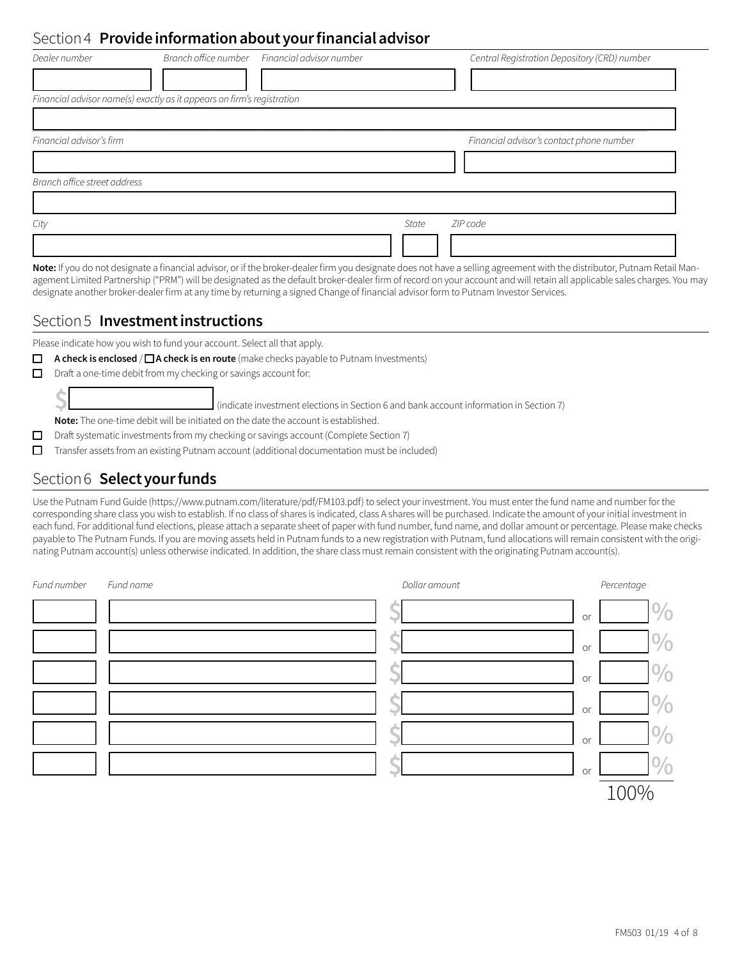# Section 4 **Provide information about your financial advisor**

| Dealer number                |                                                                        | Branch office number Financial advisor number |       | Central Registration Depository (CRD) number |
|------------------------------|------------------------------------------------------------------------|-----------------------------------------------|-------|----------------------------------------------|
|                              |                                                                        |                                               |       |                                              |
|                              | Financial advisor name(s) exactly as it appears on firm's registration |                                               |       |                                              |
|                              |                                                                        |                                               |       |                                              |
| Financial advisor's firm     |                                                                        |                                               |       | Financial advisor's contact phone number     |
|                              |                                                                        |                                               |       |                                              |
| Branch office street address |                                                                        |                                               |       |                                              |
|                              |                                                                        |                                               |       |                                              |
| City                         |                                                                        |                                               | State | ZIP code                                     |
|                              |                                                                        |                                               |       |                                              |

Note: If you do not designate a financial advisor, or if the broker-dealer firm you designate does not have a selling agreement with the distributor, Putnam Retail Management Limited Partnership ("PRM") will be designated as the default broker-dealer firm of record on your account and will retain all applicable sales charges. You may designate another broker-dealer firm at any time by returning a signed Change of financial advisor form to Putnam Investor Services.

# Section 5 **Investment instructions**

Please indicate how you wish to fund your account. Select all that apply.

**□** A check is enclosed / □ A check is en route (make checks payable to Putnam Investments)

 $\Box$  Draft a one-time debit from my checking or savings account for:

**\$**1333333334 (indicate investment elections in Section 6 and bank account information in Section 7)

**Note:** The one-time debit will be initiated on the date the account is established.

 $\Box$  Draft systematic investments from my checking or savings account (Complete Section 7)

 $\Box$  Transfer assets from an existing Putnam account (additional documentation must be included)

# Section 6 **Select your funds**

Use the Putnam Fund Guide (https://www.putnam.com/literature/pdf/FM103.pdf) to select your investment. You must enter the fund name and number for the corresponding share class you wish to establish. If no class of shares is indicated, class A shares will be purchased. Indicate the amount of your initial investment in each fund. For additional fund elections, please attach a separate sheet of paper with fund number, fund name, and dollar amount or percentage. Please make checks payable to The Putnam Funds. If you are moving assets held in Putnam funds to a new registration with Putnam, fund allocations will remain consistent with the originating Putnam account(s) unless otherwise indicated. In addition, the share class must remain consistent with the originating Putnam account(s).

| Fund number | Fund name | Dollar amount |    | Percentage    |
|-------------|-----------|---------------|----|---------------|
|             |           |               | or | $\frac{0}{0}$ |
|             |           |               | or | $\frac{0}{0}$ |
|             |           |               | or | $\frac{0}{0}$ |
|             |           |               | or | $\frac{0}{0}$ |
|             |           |               | or | $\frac{0}{0}$ |
|             |           |               | or | 0/            |
|             |           |               |    | 100%          |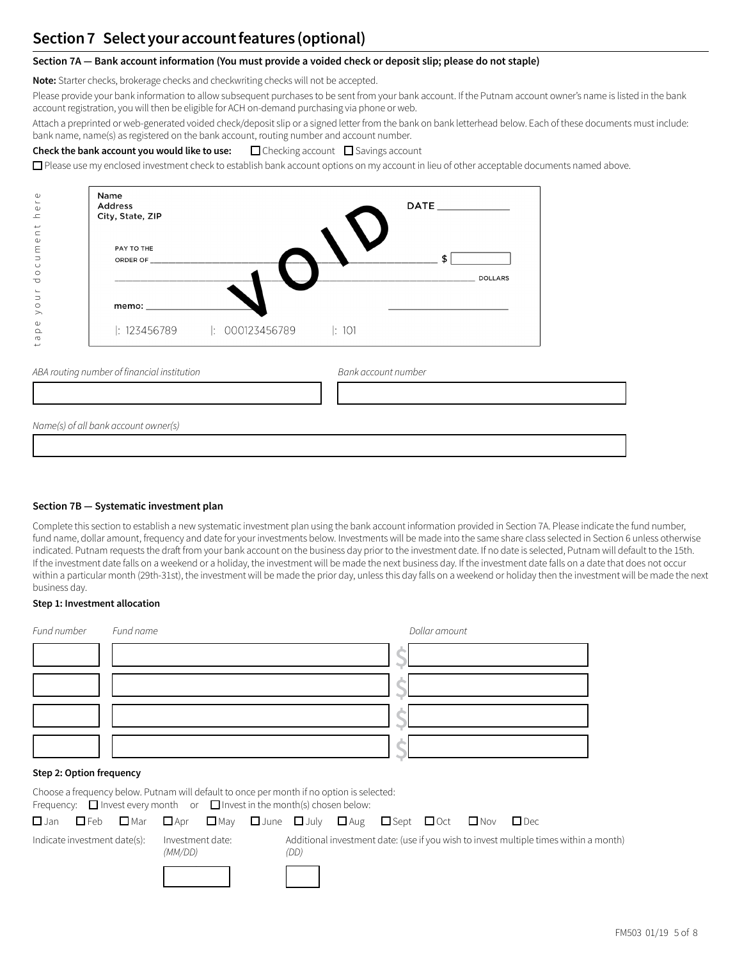# **Section 7 Select your account features (optional)**

## **Section 7A — Bank account information (You must provide a voided check or deposit slip; please do not staple)**

**Note:** Starter checks, brokerage checks and checkwriting checks will not be accepted.

Please provide your bank information to allow subsequent purchases to be sent from your bank account. If the Putnam account owner's name is listed in the bank account registration, you will then be eligible for ACH on-demand purchasing via phone or web.

Attach a preprinted or web-generated voided check/deposit slip or a signed letter from the bank on bank letterhead below. Each of these documents must include: bank name, name(s) as registered on the bank account, routing number and account number.

### **Check the bank account you would like to use:**  $\Box$  Checking account  $\Box$  Savings account

 $\Box$  Please use my enclosed investment check to establish bank account options on my account in lieu of other acceptable documents named above.

| $\omega$<br>$\overline{\phantom{a}}$<br>$\mathbb U$<br>$\overline{\phantom{a}}$                                 | Name<br><b>Address</b><br>City, State, ZIP  | DATE _______________ |
|-----------------------------------------------------------------------------------------------------------------|---------------------------------------------|----------------------|
| $\overline{\phantom{0}}$<br>$\subset$<br>$\mathbb U$<br>ε<br>$\Box$<br>$\circ$<br>$\circ$<br>$\overline{\circ}$ | PAY TO THE<br>ORDER OF _______________      | \$<br><b>DOLLARS</b> |
| $\overline{\phantom{a}}$<br>$\supset$<br>$\circ$<br>$\rightarrow$                                               |                                             |                      |
| $\mathbb U$<br>$\Omega$<br>P<br>$\overline{\phantom{0}}$                                                        |                                             |                      |
|                                                                                                                 | ABA routing number of financial institution | Bank account number  |
|                                                                                                                 |                                             |                      |
|                                                                                                                 | Name(s) of all bank account owner(s)        |                      |
|                                                                                                                 |                                             |                      |

## **Section 7B — Systematic investment plan**

Complete this section to establish a new systematic investment plan using the bank account information provided in Section 7A. Please indicate the fund number, fund name, dollar amount, frequency and date for your investments below. Investments will be made into the same share class selected in Section 6 unless otherwise indicated. Putnam requests the draft from your bank account on the business day prior to the investment date. If no date is selected, Putnam will default to the 15th. If the investment date falls on a weekend or a holiday, the investment will be made the next business day. If the investment date falls on a date that does not occur within a particular month (29th-31st), the investment will be made the prior day, unless this day falls on a weekend or holiday then the investment will be made the next business day.

### **Step 1: Investment allocation**

| Fund number              | Fund name                                                                                                                                                                        | Dollar amount |  |
|--------------------------|----------------------------------------------------------------------------------------------------------------------------------------------------------------------------------|---------------|--|
|                          |                                                                                                                                                                                  |               |  |
|                          |                                                                                                                                                                                  |               |  |
|                          |                                                                                                                                                                                  |               |  |
|                          |                                                                                                                                                                                  |               |  |
| Step 2: Option frequency |                                                                                                                                                                                  |               |  |
|                          | Choose a frequency below. Putnam will default to once per month if no option is selected:<br>Frequency: $\Box$ Invest every month or $\Box$ Invest in the month(s) chosen below: |               |  |

|                              | $\square$ Jan $\square$ Feb $\square$ Mar $\square$ Apr $\square$ May $\square$ June $\square$ July $\square$ Aug $\square$ Sept $\square$ Oct $\square$ Nov $\square$ Dec |                             |  |      |  |  |                                                                                       |
|------------------------------|----------------------------------------------------------------------------------------------------------------------------------------------------------------------------|-----------------------------|--|------|--|--|---------------------------------------------------------------------------------------|
| Indicate investment date(s): |                                                                                                                                                                            | Investment date:<br>(MM/DD) |  | (DD) |  |  | Additional investment date: (use if you wish to invest multiple times within a month) |
|                              |                                                                                                                                                                            |                             |  |      |  |  |                                                                                       |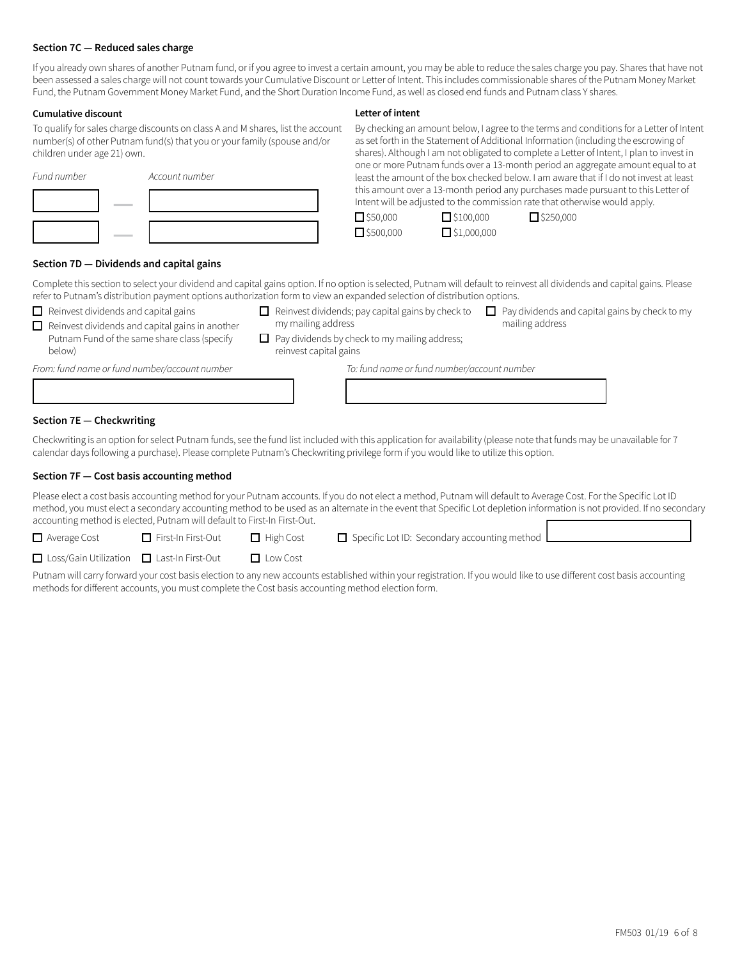### **Section 7C — Reduced sales charge**

If you already own shares of another Putnam fund, or if you agree to invest a certain amount, you may be able to reduce the sales charge you pay. Shares that have not been assessed a sales charge will not count towards your Cumulative Discount or Letter of Intent. This includes commissionable shares of the Putnam Money Market Fund, the Putnam Government Money Market Fund, and the Short Duration Income Fund, as well as closed end funds and Putnam class Y shares.

#### **Cumulative discount**

To qualify for sales charge discounts on class A and M shares, list the account number(s) of other Putnam fund(s) that you or your family (spouse and/or children under age 21) own.

| Fund number | Account number |
|-------------|----------------|
|             |                |
|             |                |

# **Letter of intent**

By checking an amount below, I agree to the terms and conditions for a Letter of Intent as set forth in the Statement of Additional Information (including the escrowing of shares). Although I am not obligated to complete a Letter of Intent, I plan to invest in one or more Putnam funds over a 13-month period an aggregate amount equal to at least the amount of the box checked below. I am aware that if I do not invest at least this amount over a 13-month period any purchases made pursuant to this Letter of Intent will be adjusted to the commission rate that otherwise would apply.

| $\Box$ \$50,000  | $\Box$ \$100,000   |
|------------------|--------------------|
| $\Box$ \$500,000 | $\Box$ \$1,000,000 |

 $\Box$ \$100,000  $\Box$ \$250,000

# **Section 7D — Dividends and capital gains**

Complete this section to select your dividend and capital gains option. If no option is selected, Putnam will default to reinvest all dividends and capital gains. Please refer to Putnam's distribution payment options authorization form to view an expanded selection of distribution options.

- $\Box$  Reinvest dividends and capital gains
- 
- $\Box$  Reinvest dividends and capital gains in another Putnam Fund of the same share class (specify
- my mailing address
- $\Box$  Reinvest dividends; pay capital gains by check to  $\Box$  Pay dividends and capital gains by check to my mailing address
- below)
- $\Box$  Pay dividends by check to my mailing address; reinvest capital gains

*From: fund name or fund number/account number To: fund name or fund number/account number*

| From: tund name or tund number/account number | To: fund name or fund number/account number |
|-----------------------------------------------|---------------------------------------------|
|                                               |                                             |
|                                               |                                             |

### **Section 7E — Checkwriting**

Checkwriting is an option for select Putnam funds, see the fund list included with this application for availability (please note that funds may be unavailable for 7 calendar days following a purchase). Please complete Putnam's Checkwriting privilege form if you would like to utilize this option.

### **Section 7F — Cost basis accounting method**

Please elect a cost basis accounting method for your Putnam accounts. If you do not elect a method, Putnam will default to Average Cost. For the Specific Lot ID method, you must elect a secondary accounting method to be used as an alternate in the event that Specific Lot depletion information is not provided. If no secondary accounting method is elected, Putnam will default to First-In First-Out.

 $\Box$  Average Cost  $\Box$  First-In First-Out  $\Box$  High Cost  $\Box$  Specific Lot ID: Secondary accounting method

**□** Loss/Gain Utilization ■ Last-In First-Out ■ Low Cost

Putnam will carry forward your cost basis election to any new accounts established within your registration. If you would like to use different cost basis accounting methods for different accounts, you must complete the Cost basis accounting method election form.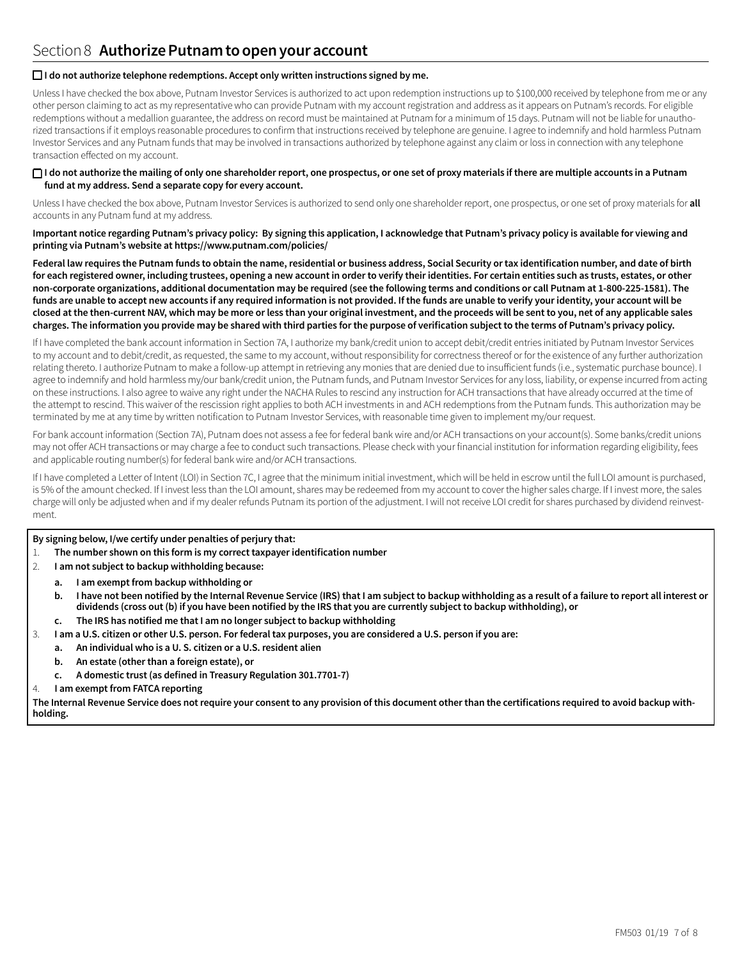### □ I do not authorize telephone redemptions. Accept only written instructions signed by me.

Unless I have checked the box above, Putnam Investor Services is authorized to act upon redemption instructions up to \$100,000 received by telephone from me or any other person claiming to act as my representative who can provide Putnam with my account registration and address as it appears on Putnam's records. For eligible redemptions without a medallion guarantee, the address on record must be maintained at Putnam for a minimum of 15 days. Putnam will not be liable for unauthorized transactions if it employs reasonable procedures to confirm that instructions received by telephone are genuine. I agree to indemnify and hold harmless Putnam Investor Services and any Putnam funds that may be involved in transactions authorized by telephone against any claim or loss in connection with any telephone transaction effected on my account.

### □ I do not authorize the mailing of only one shareholder report, one prospectus, or one set of proxy materials if there are multiple accounts in a Putnam **fund at my address. Send a separate copy for every account.**

Unless I have checked the box above, Putnam Investor Services is authorized to send only one shareholder report, one prospectus, or one set of proxy materials for **all**  accounts in any Putnam fund at my address.

**Important notice regarding Putnam's privacy policy: By signing this application, I acknowledge that Putnam's privacy policy is available for viewing and printing via Putnam's website at https://www.putnam.com/policies/** 

**Federal law requires the Putnam funds to obtain the name, residential or business address, Social Security or tax identification number, and date of birth for each registered owner, including trustees, opening a new account in order to verify their identities. For certain entities such as trusts, estates, or other non-corporate organizations, additional documentation may be required (see the following terms and conditions or call Putnam at 1-800-225-1581). The funds are unable to accept new accounts if any required information is not provided. If the funds are unable to verify your identity, your account will be closed at the then-current NAV, which may be more or less than your original investment, and the proceeds will be sent to you, net of any applicable sales charges. The information you provide may be shared with third parties for the purpose of verification subject to the terms of Putnam's privacy policy.**

If I have completed the bank account information in Section 7A, I authorize my bank/credit union to accept debit/credit entries initiated by Putnam Investor Services to my account and to debit/credit, as requested, the same to my account, without responsibility for correctness thereof or for the existence of any further authorization relating thereto. I authorize Putnam to make a follow-up attempt in retrieving any monies that are denied due to insufficient funds (i.e., systematic purchase bounce). I agree to indemnify and hold harmless my/our bank/credit union, the Putnam funds, and Putnam Investor Services for any loss, liability, or expense incurred from acting on these instructions. I also agree to waive any right under the NACHA Rules to rescind any instruction for ACH transactions that have already occurred at the time of the attempt to rescind. This waiver of the rescission right applies to both ACH investments in and ACH redemptions from the Putnam funds. This authorization may be terminated by me at any time by written notification to Putnam Investor Services, with reasonable time given to implement my/our request.

For bank account information (Section 7A), Putnam does not assess a fee for federal bank wire and/or ACH transactions on your account(s). Some banks/credit unions may not offer ACH transactions or may charge a fee to conduct such transactions. Please check with your financial institution for information regarding eligibility, fees and applicable routing number(s) for federal bank wire and/or ACH transactions.

If I have completed a Letter of Intent (LOI) in Section 7C, I agree that the minimum initial investment, which will be held in escrow until the full LOI amount is purchased, is 5% of the amount checked. If I invest less than the LOI amount, shares may be redeemed from my account to cover the higher sales charge. If I invest more, the sales charge will only be adjusted when and if my dealer refunds Putnam its portion of the adjustment. I will not receive LOI credit for shares purchased by dividend reinvestment.

### **By signing below, I/we certify under penalties of perjury that:**

- 1. **The number shown on this form is my correct taxpayer identification number**
- 2. **I am not subject to backup withholding because:**
	- **a. I am exempt from backup withholding or**
	- **b. I have not been notified by the Internal Revenue Service (IRS) that I am subject to backup withholding as a result of a failure to report all interest or dividends (cross out (b) if you have been notified by the IRS that you are currently subject to backup withholding), or**
	- **c. The IRS has notified me that I am no longer subject to backup withholding**
- 3. **I am a U.S. citizen or other U.S. person. For federal tax purposes, you are considered a U.S. person if you are:**
	- **a. An individual who is a U. S. citizen or a U.S. resident alien**
	- **b. An estate (other than a foreign estate), or**
	- **c. A domestic trust (as defined in Treasury Regulation 301.7701-7)**
- 4. **I am exempt from FATCA reporting**

**The Internal Revenue Service does not require your consent to any provision of this document other than the certifications required to avoid backup withholding.**